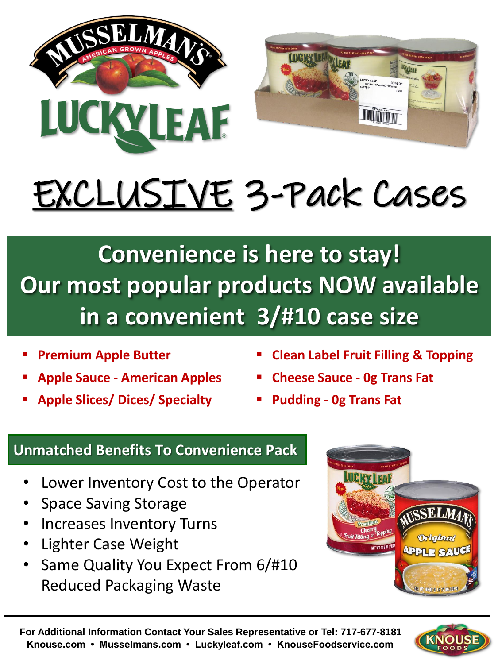



## EXCLUSIVE 3-Pack Cases

**Convenience is here to stay! Our most popular products NOW available in a convenient 3/#10 case size**

- **Premium Apple Butter**
- **Apple Sauce - American Apples**
- **Apple Slices/ Dices/ Specialty**
- **Clean Label Fruit Filling & Topping**
- **Cheese Sauce - 0g Trans Fat**
- **Pudding - 0g Trans Fat**

## **Unmatched Benefits To Convenience Pack**

- Lower Inventory Cost to the Operator
- Space Saving Storage
- Increases Inventory Turns
- Lighter Case Weight
- Same Quality You Expect From 6/#10 Reduced Packaging Waste